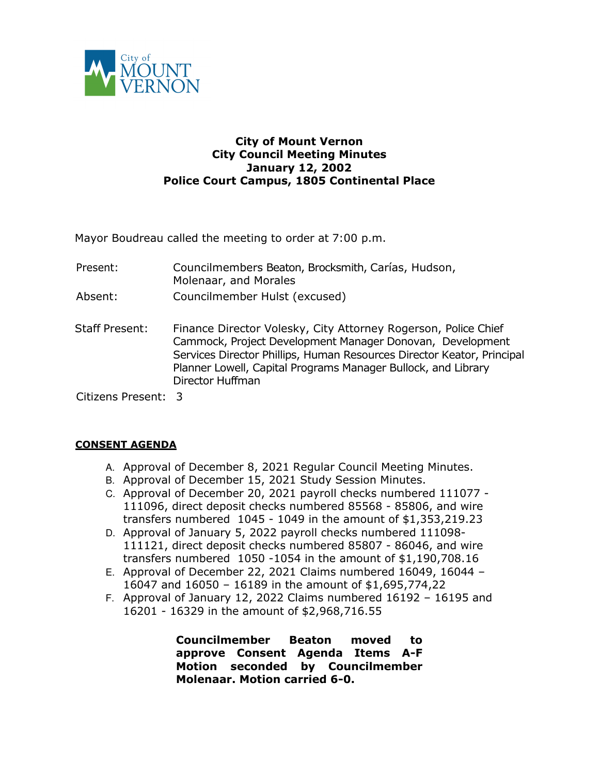

## **City of Mount Vernon City Council Meeting Minutes January 12, 2002 Police Court Campus, 1805 Continental Place**

Mayor Boudreau called the meeting to order at 7:00 p.m.

- Present: Councilmembers Beaton, Brocksmith, Carías, Hudson, Molenaar, and Morales
- Absent: Councilmember Hulst (excused)
- Staff Present: Finance Director Volesky, City Attorney Rogerson, Police Chief Cammock, Project Development Manager Donovan, Development Services Director Phillips, Human Resources Director Keator, Principal Planner Lowell, Capital Programs Manager Bullock, and Library Director Huffman

Citizens Present: 3

## **CONSENT AGENDA**

- A. Approval of December 8, 2021 Regular Council Meeting Minutes.
- B. Approval of December 15, 2021 Study Session Minutes.
- C. Approval of December 20, 2021 payroll checks numbered 111077 111096, direct deposit checks numbered 85568 - 85806, and wire transfers numbered 1045 - 1049 in the amount of \$1,353,219.23
- D. Approval of January 5, 2022 payroll checks numbered 111098- 111121, direct deposit checks numbered 85807 - 86046, and wire transfers numbered 1050 -1054 in the amount of \$1,190,708.16
- E. Approval of December 22, 2021 Claims numbered 16049, 16044 16047 and 16050 – 16189 in the amount of \$1,695,774,22
- F. Approval of January 12, 2022 Claims numbered 16192 16195 and 16201 - 16329 in the amount of \$2,968,716.55

**Councilmember Beaton moved to approve Consent Agenda Items A-F Motion seconded by Councilmember Molenaar. Motion carried 6-0.**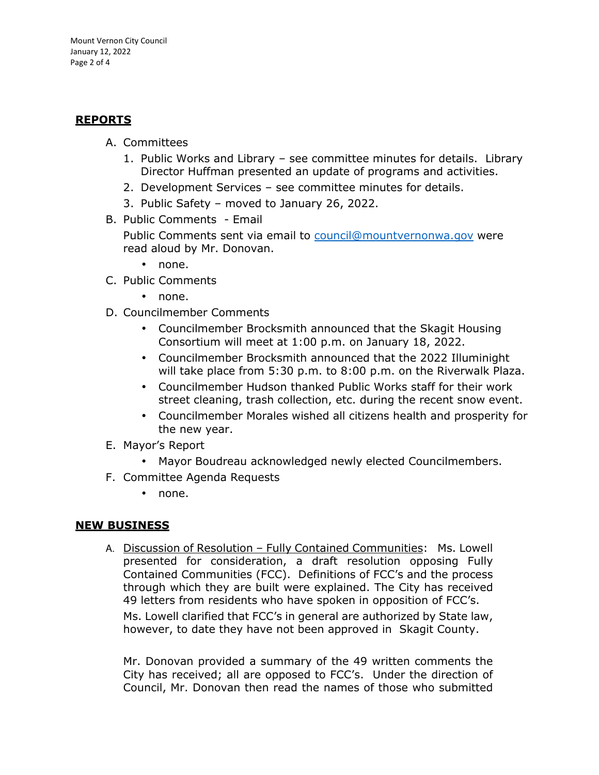# **REPORTS**

- A. Committees
	- 1. Public Works and Library see committee minutes for details. Library Director Huffman presented an update of programs and activities.
	- 2. Development Services see committee minutes for details.
	- 3. Public Safety moved to January 26, 2022.
- B. Public Comments Email

Public Comments sent via email to council@mountvernonwa.gov were read aloud by Mr. Donovan.

- none.
- C. Public Comments
	- none.
- D. Councilmember Comments
	- Councilmember Brocksmith announced that the Skagit Housing Consortium will meet at 1:00 p.m. on January 18, 2022.
	- Councilmember Brocksmith announced that the 2022 Illuminight will take place from 5:30 p.m. to 8:00 p.m. on the Riverwalk Plaza.
	- Councilmember Hudson thanked Public Works staff for their work street cleaning, trash collection, etc. during the recent snow event.
	- Councilmember Morales wished all citizens health and prosperity for the new year.
- E. Mayor's Report
	- Mayor Boudreau acknowledged newly elected Councilmembers.
- F. Committee Agenda Requests
	- none.

## **NEW BUSINESS**

A. Discussion of Resolution – Fully Contained Communities: Ms. Lowell presented for consideration, a draft resolution opposing Fully Contained Communities (FCC). Definitions of FCC's and the process through which they are built were explained. The City has received 49 letters from residents who have spoken in opposition of FCC's. Ms. Lowell clarified that FCC's in general are authorized by State law, however, to date they have not been approved in Skagit County.

Mr. Donovan provided a summary of the 49 written comments the City has received; all are opposed to FCC's. Under the direction of Council, Mr. Donovan then read the names of those who submitted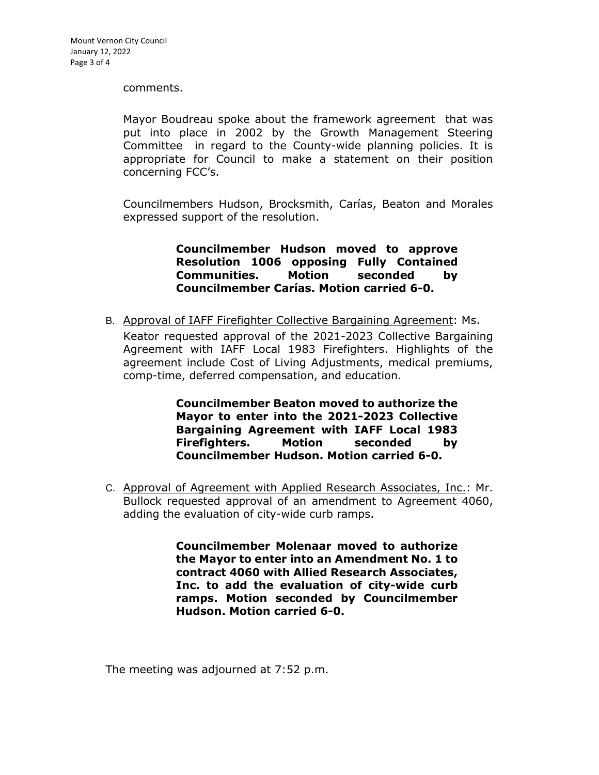#### comments.

Mayor Boudreau spoke about the framework agreement that was put into place in 2002 by the Growth Management Steering Committee in regard to the County-wide planning policies. It is appropriate for Council to make a statement on their position concerning FCC's.

Councilmembers Hudson, Brocksmith, Carías, Beaton and Morales expressed support of the resolution.

> **Councilmember Hudson moved to approve Resolution 1006 opposing Fully Contained Communities. Motion seconded by Councilmember Carías. Motion carried 6-0.**

B. Approval of IAFF Firefighter Collective Bargaining Agreement: Ms. Keator requested approval of the 2021-2023 Collective Bargaining Agreement with IAFF Local 1983 Firefighters. Highlights of the agreement include Cost of Living Adjustments, medical premiums, comp-time, deferred compensation, and education.

> **Councilmember Beaton moved to authorize the Mayor to enter into the 2021-2023 Collective Bargaining Agreement with IAFF Local 1983 Firefighters. Motion seconded by Councilmember Hudson. Motion carried 6-0.**

C. Approval of Agreement with Applied Research Associates, Inc.: Mr. Bullock requested approval of an amendment to Agreement 4060, adding the evaluation of city-wide curb ramps.

> **Councilmember Molenaar moved to authorize the Mayor to enter into an Amendment No. 1 to contract 4060 with Allied Research Associates, Inc. to add the evaluation of city-wide curb ramps. Motion seconded by Councilmember Hudson. Motion carried 6-0.**

The meeting was adjourned at 7:52 p.m.